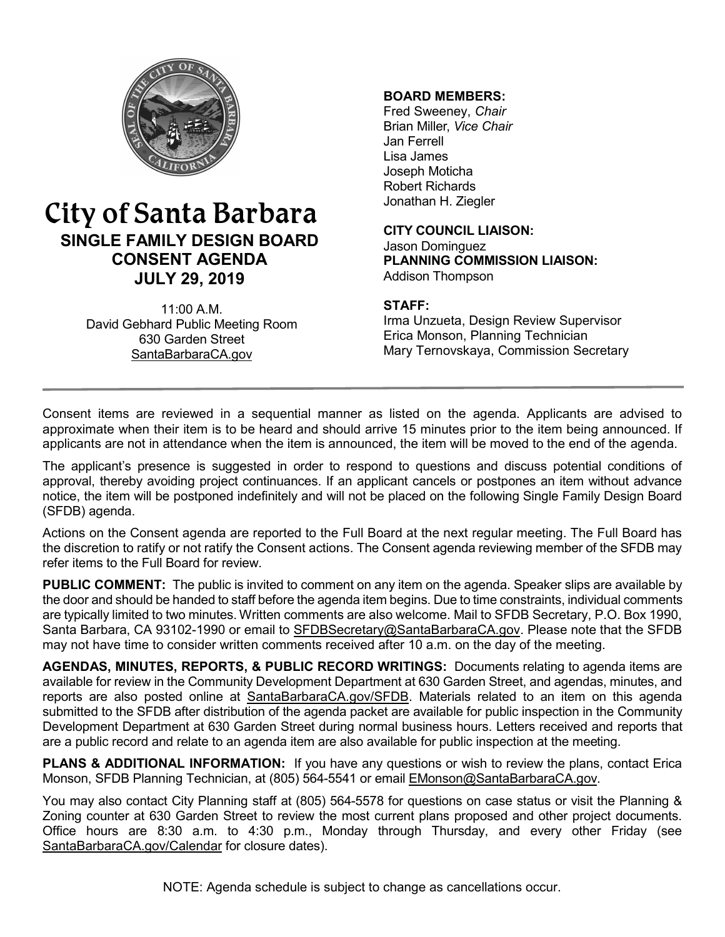

# City of Santa Barbara **SINGLE FAMILY DESIGN BOARD CONSENT AGENDA JULY 29, 2019**

11:00 A.M. David Gebhard Public Meeting Room 630 Garden Street [SantaBarbaraCA.gov](http://www.santabarbaraca.gov/)

# **BOARD MEMBERS:**

Fred Sweeney, *Chair* Brian Miller, *Vice Chair* Jan Ferrell Lisa James Joseph Moticha Robert Richards Jonathan H. Ziegler

**CITY COUNCIL LIAISON:** Jason Dominguez **PLANNING COMMISSION LIAISON:** Addison Thompson

#### **STAFF:**

Irma Unzueta, Design Review Supervisor Erica Monson, Planning Technician Mary Ternovskaya, Commission Secretary

Consent items are reviewed in a sequential manner as listed on the agenda. Applicants are advised to approximate when their item is to be heard and should arrive 15 minutes prior to the item being announced. If applicants are not in attendance when the item is announced, the item will be moved to the end of the agenda.

The applicant's presence is suggested in order to respond to questions and discuss potential conditions of approval, thereby avoiding project continuances. If an applicant cancels or postpones an item without advance notice, the item will be postponed indefinitely and will not be placed on the following Single Family Design Board (SFDB) agenda.

Actions on the Consent agenda are reported to the Full Board at the next regular meeting. The Full Board has the discretion to ratify or not ratify the Consent actions. The Consent agenda reviewing member of the SFDB may refer items to the Full Board for review.

**PUBLIC COMMENT:** The public is invited to comment on any item on the agenda. Speaker slips are available by the door and should be handed to staff before the agenda item begins. Due to time constraints, individual comments are typically limited to two minutes. Written comments are also welcome. Mail to SFDB Secretary, P.O. Box 1990, Santa Barbara, CA 93102-1990 or email to [SFDBSecretary@SantaBarbaraCA.gov](mailto:SFDBSecretary@SantaBarbaraCA.gov). Please note that the SFDB may not have time to consider written comments received after 10 a.m. on the day of the meeting.

**AGENDAS, MINUTES, REPORTS, & PUBLIC RECORD WRITINGS:** Documents relating to agenda items are available for review in the Community Development Department at 630 Garden Street, and agendas, minutes, and reports are also posted online at [SantaBarbaraCA.gov/SFDB](http://www.santabarbaraca.gov/gov/brdcomm/nz/sfdb/agendas.asp). Materials related to an item on this agenda submitted to the SFDB after distribution of the agenda packet are available for public inspection in the Community Development Department at 630 Garden Street during normal business hours. Letters received and reports that are a public record and relate to an agenda item are also available for public inspection at the meeting.

**PLANS & ADDITIONAL INFORMATION:** If you have any questions or wish to review the plans, contact Erica Monson, SFDB Planning Technician, at (805) 564-5541 or email [EMonson@SantaBarbaraCA.gov](mailto:EMonson@SantaBarbaraCA.gov).

You may also contact City Planning staff at (805) 564-5578 for questions on case status or visit the Planning & Zoning counter at 630 Garden Street to review the most current plans proposed and other project documents. Office hours are 8:30 a.m. to 4:30 p.m., Monday through Thursday, and every other Friday (see [SantaBarbaraCA.gov/Calendar](http://www.santabarbaraca.gov/cals/default.asp) for closure dates).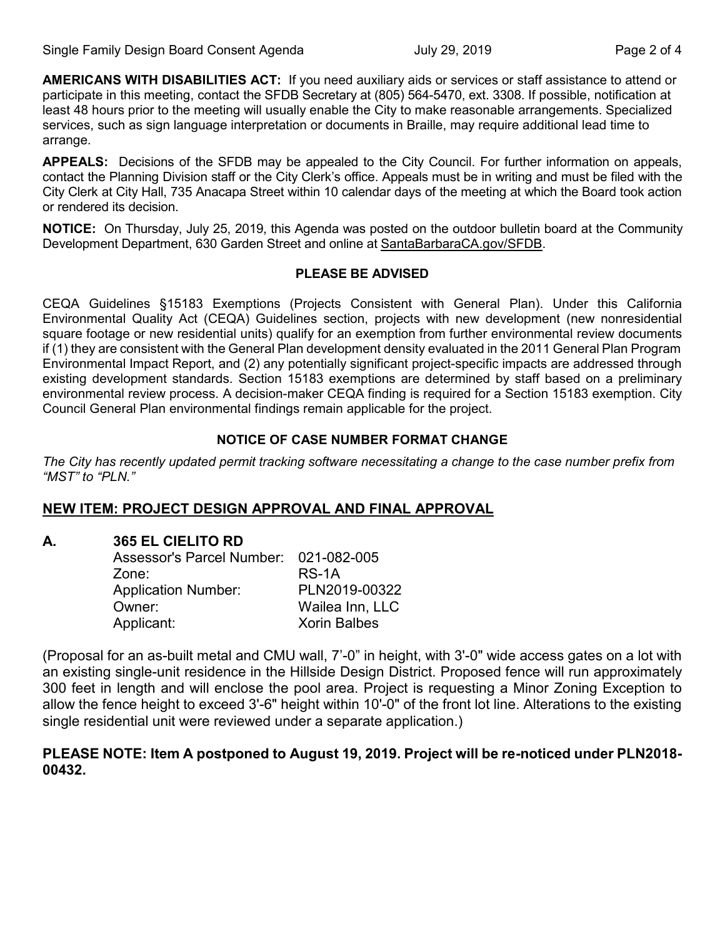**AMERICANS WITH DISABILITIES ACT:** If you need auxiliary aids or services or staff assistance to attend or participate in this meeting, contact the SFDB Secretary at (805) 564-5470, ext. 3308. If possible, notification at least 48 hours prior to the meeting will usually enable the City to make reasonable arrangements. Specialized services, such as sign language interpretation or documents in Braille, may require additional lead time to arrange.

**APPEALS:** Decisions of the SFDB may be appealed to the City Council. For further information on appeals, contact the Planning Division staff or the City Clerk's office. Appeals must be in writing and must be filed with the City Clerk at City Hall, 735 Anacapa Street within 10 calendar days of the meeting at which the Board took action or rendered its decision.

**NOTICE:** On Thursday, July 25, 2019, this Agenda was posted on the outdoor bulletin board at the Community Development Department, 630 Garden Street and online at [SantaBarbaraCA.gov/SFDB](http://www.santabarbaraca.gov/gov/brdcomm/nz/sfdb/agendas.asp).

#### **PLEASE BE ADVISED**

CEQA Guidelines §15183 Exemptions (Projects Consistent with General Plan). Under this California Environmental Quality Act (CEQA) Guidelines section, projects with new development (new nonresidential square footage or new residential units) qualify for an exemption from further environmental review documents if (1) they are consistent with the General Plan development density evaluated in the 2011 General Plan Program Environmental Impact Report, and (2) any potentially significant project-specific impacts are addressed through existing development standards. Section 15183 exemptions are determined by staff based on a preliminary environmental review process. A decision-maker CEQA finding is required for a Section 15183 exemption. City Council General Plan environmental findings remain applicable for the project.

# **NOTICE OF CASE NUMBER FORMAT CHANGE**

*The City has recently updated permit tracking software necessitating a change to the case number prefix from "MST" to "PLN."*

# **NEW ITEM: PROJECT DESIGN APPROVAL AND FINAL APPROVAL**

# **A. 365 EL CIELITO RD**

| Assessor's Parcel Number: 021-082-005 |                     |
|---------------------------------------|---------------------|
| Zone:                                 | RS-1A               |
| <b>Application Number:</b>            | PLN2019-00322       |
| Owner:                                | Wailea Inn, LLC     |
| Applicant:                            | <b>Xorin Balbes</b> |

(Proposal for an as-built metal and CMU wall, 7'-0" in height, with 3'-0" wide access gates on a lot with an existing single-unit residence in the Hillside Design District. Proposed fence will run approximately 300 feet in length and will enclose the pool area. Project is requesting a Minor Zoning Exception to allow the fence height to exceed 3'-6" height within 10'-0" of the front lot line. Alterations to the existing single residential unit were reviewed under a separate application.)

# **PLEASE NOTE: Item A postponed to August 19, 2019. Project will be re-noticed under PLN2018- 00432.**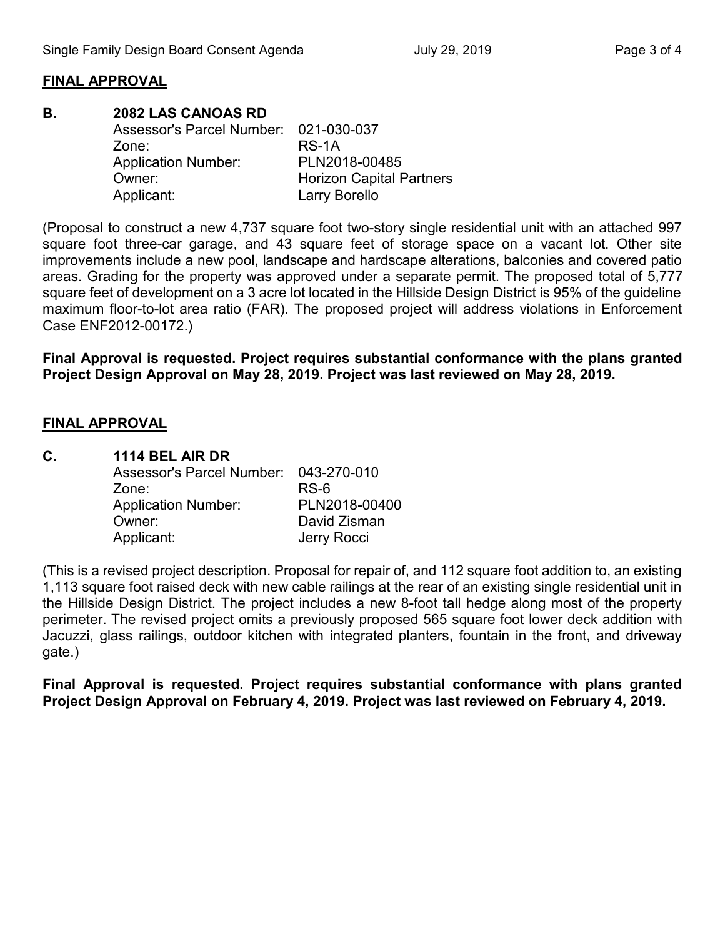# **FINAL APPROVAL**

#### **B. 2082 LAS CANOAS RD**  Assessor's Parcel Number: 021-030-037 Zone: RS-1A Application Number: PLN2018-00485 Owner: **Horizon Capital Partners** Applicant: Larry Borello

(Proposal to construct a new 4,737 square foot two-story single residential unit with an attached 997 square foot three-car garage, and 43 square feet of storage space on a vacant lot. Other site improvements include a new pool, landscape and hardscape alterations, balconies and covered patio areas. Grading for the property was approved under a separate permit. The proposed total of 5,777 square feet of development on a 3 acre lot located in the Hillside Design District is 95% of the guideline maximum floor-to-lot area ratio (FAR). The proposed project will address violations in Enforcement Case ENF2012-00172.)

**Final Approval is requested. Project requires substantial conformance with the plans granted Project Design Approval on May 28, 2019. Project was last reviewed on May 28, 2019.**

# **FINAL APPROVAL**

| C. | 1114 BEL AIR DR                       |               |
|----|---------------------------------------|---------------|
|    | Assessor's Parcel Number: 043-270-010 |               |
|    | Zone:                                 | $RS-6$        |
|    | <b>Application Number:</b>            | PLN2018-00400 |
|    | Owner:                                | David Zisman  |
|    | Applicant:                            | Jerry Rocci   |

(This is a revised project description. Proposal for repair of, and 112 square foot addition to, an existing 1,113 square foot raised deck with new cable railings at the rear of an existing single residential unit in the Hillside Design District. The project includes a new 8-foot tall hedge along most of the property perimeter. The revised project omits a previously proposed 565 square foot lower deck addition with Jacuzzi, glass railings, outdoor kitchen with integrated planters, fountain in the front, and driveway gate.)

**Final Approval is requested. Project requires substantial conformance with plans granted Project Design Approval on February 4, 2019. Project was last reviewed on February 4, 2019.**